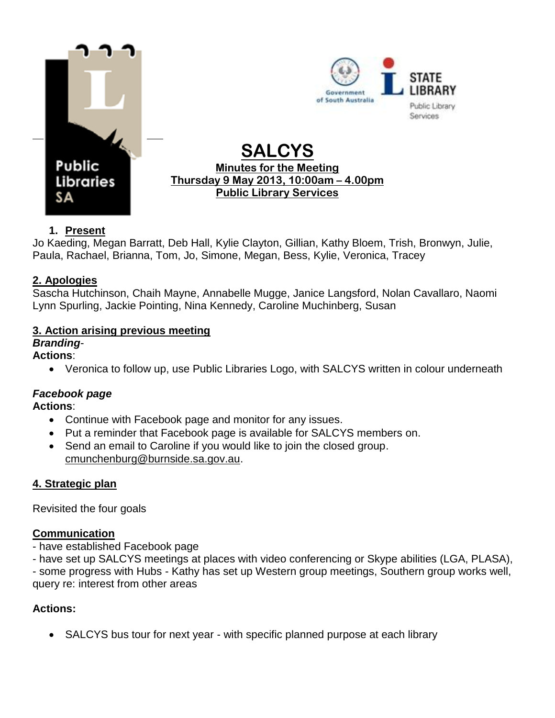



# **SALCYS Minutes for the Meeting Thursday 9 May 2013, 10:00am – 4.00pm Public Library Services**

# **1. Present**

Jo Kaeding, Megan Barratt, Deb Hall, Kylie Clayton, Gillian, Kathy Bloem, Trish, Bronwyn, Julie, Paula, Rachael, Brianna, Tom, Jo, Simone, Megan, Bess, Kylie, Veronica, Tracey

# **2. Apologies**

Sascha Hutchinson, Chaih Mayne, Annabelle Mugge, Janice Langsford, Nolan Cavallaro, Naomi Lynn Spurling, Jackie Pointing, Nina Kennedy, Caroline Muchinberg, Susan

# **3. Action arising previous meeting**

#### *Branding*-**Actions**:

Veronica to follow up, use Public Libraries Logo, with SALCYS written in colour underneath

# *Facebook page*

## **Actions**:

- Continue with Facebook page and monitor for any issues.
- Put a reminder that Facebook page is available for SALCYS members on.
- Send an email to Caroline if you would like to join the closed group. [cmunchenburg@burnside.sa.gov.au.](mailto:cmunchenburg@burnside.sa.gov.au)

# **4. Strategic plan**

Revisited the four goals

# **Communication**

- have established Facebook page

- have set up SALCYS meetings at places with video conferencing or Skype abilities (LGA, PLASA), - some progress with Hubs - Kathy has set up Western group meetings, Southern group works well, query re: interest from other areas

# **Actions:**

• SALCYS bus tour for next year - with specific planned purpose at each library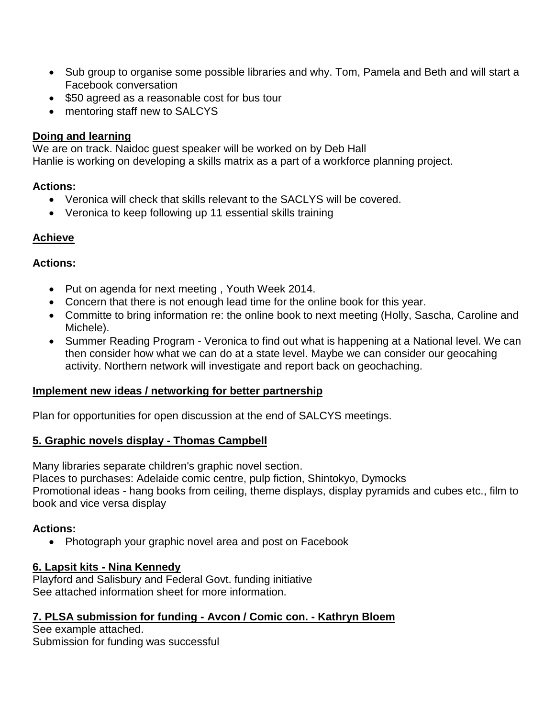- Sub group to organise some possible libraries and why. Tom, Pamela and Beth and will start a Facebook conversation
- \$50 agreed as a reasonable cost for bus tour
- mentoring staff new to SALCYS

#### **Doing and learning**

We are on track. Naidoc guest speaker will be worked on by Deb Hall Hanlie is working on developing a skills matrix as a part of a workforce planning project.

#### **Actions:**

- Veronica will check that skills relevant to the SACLYS will be covered.
- Veronica to keep following up 11 essential skills training

## **Achieve**

#### **Actions:**

- Put on agenda for next meeting, Youth Week 2014.
- Concern that there is not enough lead time for the online book for this year.
- Committe to bring information re: the online book to next meeting (Holly, Sascha, Caroline and Michele).
- Summer Reading Program Veronica to find out what is happening at a National level. We can then consider how what we can do at a state level. Maybe we can consider our geocahing activity. Northern network will investigate and report back on geochaching.

## **Implement new ideas / networking for better partnership**

Plan for opportunities for open discussion at the end of SALCYS meetings.

#### **5. Graphic novels display - Thomas Campbell**

Many libraries separate children's graphic novel section.

Places to purchases: Adelaide comic centre, pulp fiction, Shintokyo, Dymocks Promotional ideas - hang books from ceiling, theme displays, display pyramids and cubes etc., film to book and vice versa display

## **Actions:**

• Photograph your graphic novel area and post on Facebook

## **6. Lapsit kits - Nina Kennedy**

Playford and Salisbury and Federal Govt. funding initiative See attached information sheet for more information.

## **7. PLSA submission for funding - Avcon / Comic con. - Kathryn Bloem**

See example attached. Submission for funding was successful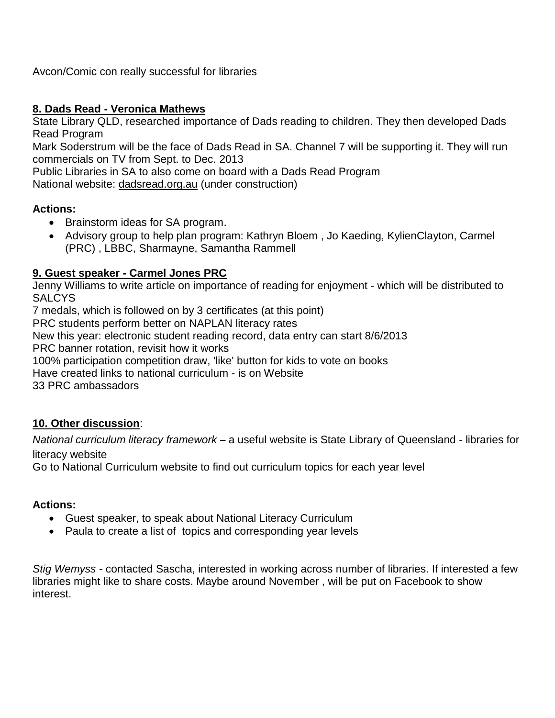Avcon/Comic con really successful for libraries

#### **8. Dads Read - Veronica Mathews**

State Library QLD, researched importance of Dads reading to children. They then developed Dads Read Program

Mark Soderstrum will be the face of Dads Read in SA. Channel 7 will be supporting it. They will run commercials on TV from Sept. to Dec. 2013

Public Libraries in SA to also come on board with a Dads Read Program

National website: [dadsread.org.au](http://dadsread.org.au/) (under construction)

#### **Actions:**

- Brainstorm ideas for SA program.
- Advisory group to help plan program: Kathryn Bloem, Jo Kaeding, KylienClayton, Carmel (PRC) , LBBC, Sharmayne, Samantha Rammell

## **9. Guest speaker - Carmel Jones PRC**

Jenny Williams to write article on importance of reading for enjoyment - which will be distributed to **SALCYS** 

7 medals, which is followed on by 3 certificates (at this point)

PRC students perform better on NAPLAN literacy rates

New this year: electronic student reading record, data entry can start 8/6/2013

PRC banner rotation, revisit how it works

100% participation competition draw, 'like' button for kids to vote on books

Have created links to national curriculum - is on Website

33 PRC ambassadors

## **10. Other discussion**:

*National curriculum literacy framework* – a useful website is State Library of Queensland - libraries for literacy website

Go to National Curriculum website to find out curriculum topics for each year level

## **Actions:**

- Guest speaker, to speak about National Literacy Curriculum
- Paula to create a list of topics and corresponding year levels

*Stig Wemyss* - contacted Sascha, interested in working across number of libraries. If interested a few libraries might like to share costs. Maybe around November , will be put on Facebook to show interest.